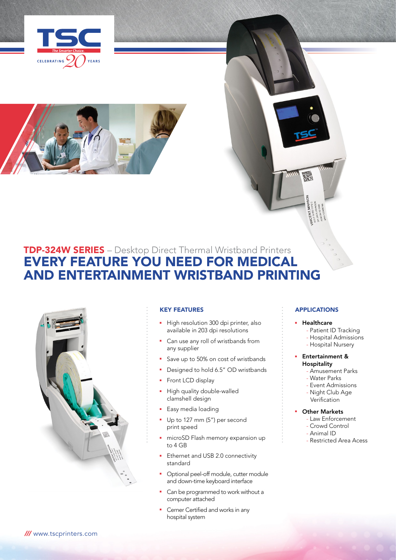



# TDP-324W SERIES – Desktop Direct Thermal Wristband Printers EVERY FEATURE YOU NEED FOR MEDICAL AND ENTERTAINMENT WRISTBAnd PRINTING



## KEY FEATURES

- High resolution 300 dpi printer, also available in 203 dpi resolutions
- Can use any roll of wristbands from any supplier
- Save up to 50% on cost of wristbands
- Designed to hold 6.5" OD wristbands
- Front LCD display
- High quality double-walled clamshell design
- Easy media loading
- Up to 127 mm (5") per second print speed
- **n** microSD Flash memory expansion up to 4 GB
- **Ethernet and USB 2.0 connectivity** standard
- Optional peel-off module, cutter module and down-time keyboard interface
- Can be programmed to work without a computer attached
- Cerner Certified and works in any hospital system

# **APPLICATIONS**

## **•** Healthcare

- Patient ID Tracking
- Hospital Admissions
- Hospital Nursery

## **Entertainment & Hospitality**

- Amusement Parks
- Water Parks
- Event Admissions
- Night Club Age **Verification**
- 

# **Other Markets**

- Law Enforcement
- Crowd Control
- Animal ID
- Restricted Area Acess